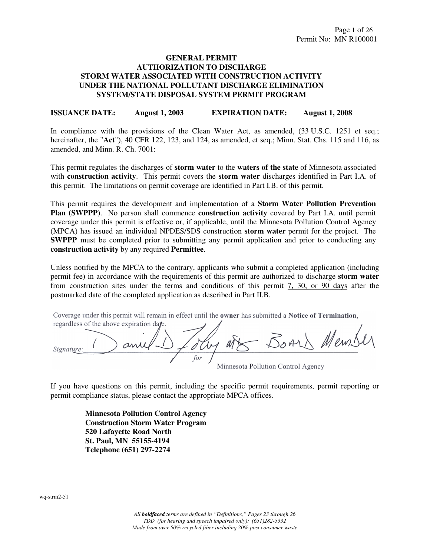# **GENERAL PERMIT AUTHORIZATION TO DISCHARGE STORM WATER ASSOCIATED WITH CONSTRUCTION ACTIVITY UNDER THE NATIONAL POLLUTANT DISCHARGE ELIMINATION SYSTEM/STATE DISPOSAL SYSTEM PERMIT PROGRAM**

**ISSUANCE DATE: August 1, 2003 EXPIRATION DATE: August 1, 2008** 

In compliance with the provisions of the Clean Water Act, as amended,  $(33 \text{ U.S.C. } 1251 \text{ et seq.};$ hereinafter, the "**Act**"), 40 CFR 122, 123, and 124, as amended, et seq.; Minn. Stat. Chs. 115 and 116, as amended, and Minn. R. Ch. 7001:

This permit regulates the discharges of **storm water** to the **waters of the state** of Minnesota associated with **construction activity**. This permit covers the **storm water** discharges identified in Part I.A. of this permit. The limitations on permit coverage are identified in Part I.B. of this permit.

This permit requires the development and implementation of a **Storm Water Pollution Prevention Plan (SWPPP)**. No person shall commence **construction activity** covered by Part I.A. until permit coverage under this permit is effective or, if applicable, until the Minnesota Pollution Control Agency (MPCA) has issued an individual NPDES/SDS construction **storm water** permit for the project. The **SWPPP** must be completed prior to submitting any permit application and prior to conducting any **construction activity** by any required **Permittee**.

Unless notified by the MPCA to the contrary, applicants who submit a completed application (including permit fee) in accordance with the requirements of this permit are authorized to discharge **storm water** from construction sites under the terms and conditions of this permit 7, 30, or 90 days after the postmarked date of the completed application as described in Part II.B.

Coverage under this permit will remain in effect until the owner has submitted a Notice of Termination, regardless of the above expiration date.

Board Mem! - an Signature:

Minnesota Pollution Control Agency

If you have questions on this permit, including the specific permit requirements, permit reporting or permit compliance status, please contact the appropriate MPCA offices.

> **Minnesota Pollution Control Agency Construction Storm Water Program 520 Lafayette Road North St. Paul, MN 55155-4194 Telephone (651) 297-2274**

wq-strm2-51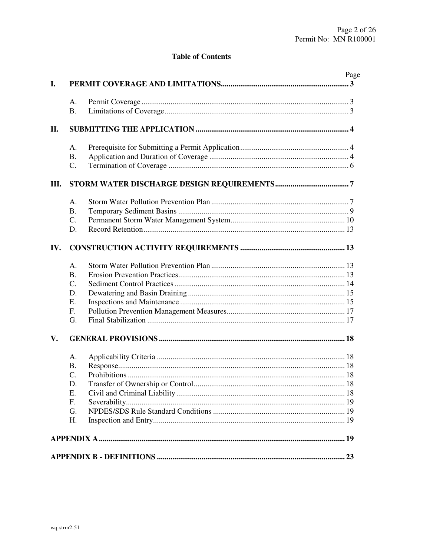# **Table of Contents**

|     |                 | Page |  |  |  |
|-----|-----------------|------|--|--|--|
| I.  |                 |      |  |  |  |
|     | A.              |      |  |  |  |
|     | <b>B.</b>       |      |  |  |  |
| II. |                 |      |  |  |  |
|     | А.              |      |  |  |  |
|     | <b>B.</b>       |      |  |  |  |
|     | C.              |      |  |  |  |
| Ш.  |                 |      |  |  |  |
|     | A.              |      |  |  |  |
|     | <b>B.</b>       |      |  |  |  |
|     | C.              |      |  |  |  |
|     | D.              |      |  |  |  |
| IV. |                 |      |  |  |  |
|     | A <sub>1</sub>  |      |  |  |  |
|     | <b>B.</b>       |      |  |  |  |
|     | $\mathcal{C}$ . |      |  |  |  |
|     | D.              |      |  |  |  |
|     | Ε.              |      |  |  |  |
|     | F.              |      |  |  |  |
|     | G.              |      |  |  |  |
| V.  |                 |      |  |  |  |
|     | А.              |      |  |  |  |
|     | <b>B.</b>       |      |  |  |  |
|     | $\mathcal{C}$ . |      |  |  |  |
|     | D.              |      |  |  |  |
|     | Ε.              |      |  |  |  |
|     | F.              |      |  |  |  |
|     | G.              |      |  |  |  |
|     | H.              |      |  |  |  |
|     |                 |      |  |  |  |
|     |                 |      |  |  |  |
|     |                 |      |  |  |  |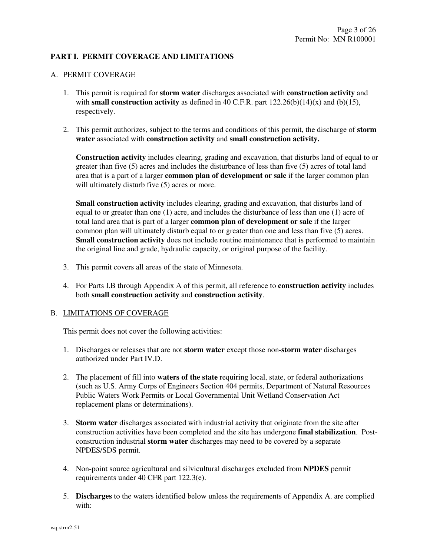# **PART I. PERMIT COVERAGE AND LIMITATIONS**

# A. PERMIT COVERAGE

- 1. This permit is required for **storm water** discharges associated with **construction activity** and with **small construction activity** as defined in 40 C.F.R. part  $122.26(b)(14)(x)$  and (b)(15), respectively.
- 2. This permit authorizes, subject to the terms and conditions of this permit, the discharge of **storm water** associated with **construction activity** and **small construction activity.**

 **Construction activity** includes clearing, grading and excavation, that disturbs land of equal to or greater than five (5) acres and includes the disturbance of less than five (5) acres of total land area that is a part of a larger **common plan of development or sale** if the larger common plan will ultimately disturb five (5) acres or more.

**Small construction activity** includes clearing, grading and excavation, that disturbs land of equal to or greater than one (1) acre, and includes the disturbance of less than one (1) acre of total land area that is part of a larger **common plan of development or sale** if the larger common plan will ultimately disturb equal to or greater than one and less than five (5) acres. **Small construction activity** does not include routine maintenance that is performed to maintain the original line and grade, hydraulic capacity, or original purpose of the facility.

- 3. This permit covers all areas of the state of Minnesota.
- 4. For Parts I.B through Appendix A of this permit, all reference to **construction activity** includes both **small construction activity** and **construction activity**.

### B. LIMITATIONS OF COVERAGE

This permit does not cover the following activities:

- 1. Discharges or releases that are not **storm water** except those non-**storm water** discharges authorized under Part IV.D.
- 2. The placement of fill into **waters of the state** requiring local, state, or federal authorizations (such as U.S. Army Corps of Engineers Section 404 permits, Department of Natural Resources Public Waters Work Permits or Local Governmental Unit Wetland Conservation Act replacement plans or determinations).
- 3. **Storm water** discharges associated with industrial activity that originate from the site after construction activities have been completed and the site has undergone **final stabilization**. Postconstruction industrial **storm water** discharges may need to be covered by a separate NPDES/SDS permit.
- 4. Non-point source agricultural and silvicultural discharges excluded from **NPDES** permit requirements under 40 CFR part 122.3(e).
- 5. **Discharges** to the waters identified below unless the requirements of Appendix A. are complied with: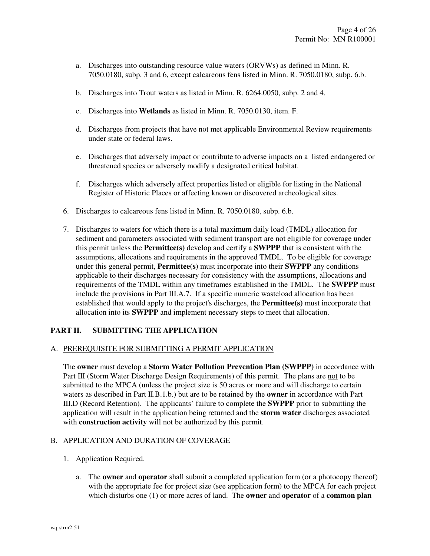- a. Discharges into outstanding resource value waters (ORVWs) as defined in Minn. R. 7050.0180, subp. 3 and 6, except calcareous fens listed in Minn. R. 7050.0180, subp. 6.b.
- b. Discharges into Trout waters as listed in Minn. R. 6264.0050, subp. 2 and 4.
- c. Discharges into **Wetlands** as listed in Minn. R. 7050.0130, item. F.
- d. Discharges from projects that have not met applicable Environmental Review requirements under state or federal laws.
- e. Discharges that adversely impact or contribute to adverse impacts on a listed endangered or threatened species or adversely modify a designated critical habitat.
- f. Discharges which adversely affect properties listed or eligible for listing in the National Register of Historic Places or affecting known or discovered archeological sites.
- 6. Discharges to calcareous fens listed in Minn. R. 7050.0180, subp. 6.b.
- 7. Discharges to waters for which there is a total maximum daily load (TMDL) allocation for sediment and parameters associated with sediment transport are not eligible for coverage under this permit unless the **Permittee(s)** develop and certify a **SWPPP** that is consistent with the assumptions, allocations and requirements in the approved TMDL. To be eligible for coverage under this general permit, **Permittee(s)** must incorporate into their **SWPPP** any conditions applicable to their discharges necessary for consistency with the assumptions, allocations and requirements of the TMDL within any timeframes established in the TMDL. The **SWPPP** must include the provisions in Part III.A.7. If a specific numeric wasteload allocation has been established that would apply to the project's discharges, the **Permittee(s)** must incorporate that allocation into its **SWPPP** and implement necessary steps to meet that allocation.

# **PART II. SUBMITTING THE APPLICATION**

### A. PREREQUISITE FOR SUBMITTING A PERMIT APPLICATION

The **owner** must develop a **Storm Water Pollution Prevention Plan (SWPPP)** in accordance with Part III (Storm Water Discharge Design Requirements) of this permit. The plans are not to be submitted to the MPCA (unless the project size is 50 acres or more and will discharge to certain waters as described in Part II.B.1.b.) but are to be retained by the **owner** in accordance with Part III.D (Record Retention). The applicants' failure to complete the **SWPPP** prior to submitting the application will result in the application being returned and the **storm water** discharges associated with **construction activity** will not be authorized by this permit.

# B. APPLICATION AND DURATION OF COVERAGE

- 1. Application Required.
	- a. The **owner** and **operator** shall submit a completed application form (or a photocopy thereof) with the appropriate fee for project size (see application form) to the MPCA for each project which disturbs one (1) or more acres of land. The **owner** and **operator** of a **common plan**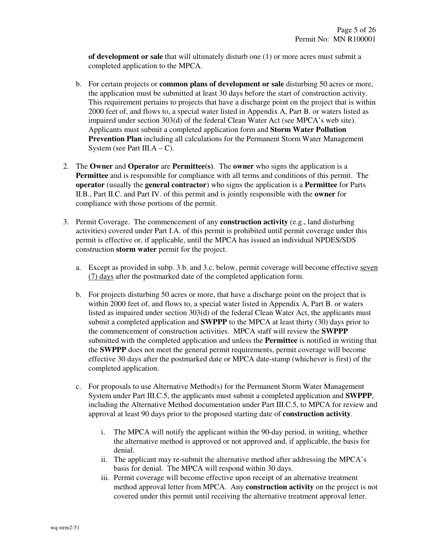**of development or sale** that will ultimately disturb one (1) or more acres must submit a completed application to the MPCA.

- b. For certain projects or **common plans of development or sale** disturbing 50 acres or more, the application must be submitted at least 30 days before the start of construction activity. This requirement pertains to projects that have a discharge point on the project that is within 2000 feet of, and flows to, a special water listed in Appendix A, Part B. or waters listed as impaired under section 303(d) of the federal Clean Water Act (see MPCA's web site). Applicants must submit a completed application form and **Storm Water Pollution Prevention Plan** including all calculations for the Permanent Storm Water Management System (see Part III. $A - C$ ).
- 2. The **Owner** and **Operator** are **Permittee(s)**. The **owner** who signs the application is a **Permittee** and is responsible for compliance with all terms and conditions of this permit. The **operator** (usually the **general contractor**) who signs the application is a **Permittee** for Parts II.B., Part II.C. and Part IV. of this permit and is jointly responsible with the **owner** for compliance with those portions of the permit.
- 3. Permit Coverage. The commencement of any **construction activity** (e.g., land disturbing activities) covered under Part I.A. of this permit is prohibited until permit coverage under this permit is effective or, if applicable, until the MPCA has issued an individual NPDES/SDS construction **storm water** permit for the project.
	- a. Except as provided in subp. 3.b. and 3.c. below, permit coverage will become effective seven (7) days after the postmarked date of the completed application form.
	- b. For projects disturbing 50 acres or more, that have a discharge point on the project that is within 2000 feet of, and flows to, a special water listed in Appendix A, Part B. or waters listed as impaired under section 303(d) of the federal Clean Water Act, the applicants must submit a completed application and **SWPPP** to the MPCA at least thirty (30) days prior to the commencement of construction activities. MPCA staff will review the **SWPPP** submitted with the completed application and unless the **Permittee** is notified in writing that the **SWPPP** does not meet the general permit requirements, permit coverage will become effective 30 days after the postmarked date or MPCA date-stamp (whichever is first) of the completed application.
	- c. For proposals to use Alternative Method(s) for the Permanent Storm Water Management System under Part III.C.5, the applicants must submit a completed application and **SWPPP**, including the Alternative Method documentation under Part III.C.5, to MPCA for review and approval at least 90 days prior to the proposed starting date of **construction activity**.
		- i. The MPCA will notify the applicant within the 90-day period, in writing, whether the alternative method is approved or not approved and, if applicable, the basis for denial.
		- ii. The applicant may re-submit the alternative method after addressing the MPCA's basis for denial. The MPCA will respond within 30 days.
		- iii. Permit coverage will become effective upon receipt of an alternative treatment method approval letter from MPCA. Any **construction activity** on the project is not covered under this permit until receiving the alternative treatment approval letter.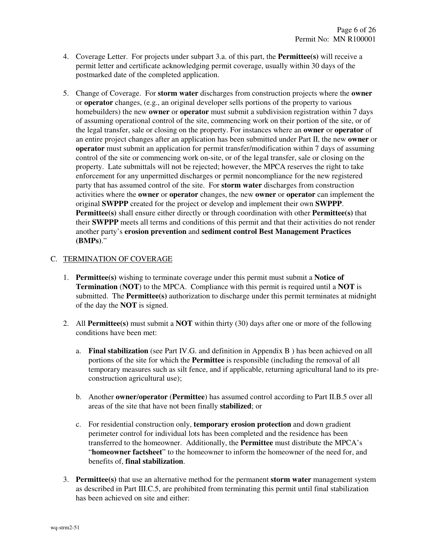- 4. Coverage Letter. For projects under subpart 3.a. of this part, the **Permittee(s)** will receive a permit letter and certificate acknowledging permit coverage, usually within 30 days of the postmarked date of the completed application.
- 5. Change of Coverage. For **storm water** discharges from construction projects where the **owner** or **operator** changes, (e.g., an original developer sells portions of the property to various homebuilders) the new **owner** or **operator** must submit a subdivision registration within 7 days of assuming operational control of the site, commencing work on their portion of the site, or of the legal transfer, sale or closing on the property. For instances where an **owner** or **operator** of an entire project changes after an application has been submitted under Part II, the new **owner** or **operator** must submit an application for permit transfer/modification within 7 days of assuming control of the site or commencing work on-site, or of the legal transfer, sale or closing on the property. Late submittals will not be rejected; however, the MPCA reserves the right to take enforcement for any unpermitted discharges or permit noncompliance for the new registered party that has assumed control of the site. For **storm water** discharges from construction activities where the **owner** or **operator** changes, the new **owner** or **operator** can implement the original **SWPPP** created for the project or develop and implement their own **SWPPP**. **Permittee(s)** shall ensure either directly or through coordination with other **Permittee(s)** that their **SWPPP** meets all terms and conditions of this permit and that their activities do not render another party's **erosion prevention** and **sediment control Best Management Practices (BMPs)**."

# C. TERMINATION OF COVERAGE

- 1. **Permittee(s)** wishing to terminate coverage under this permit must submit a **Notice of Termination** (**NOT**) to the MPCA. Compliance with this permit is required until a **NOT** is submitted. The **Permittee(s)** authorization to discharge under this permit terminates at midnight of the day the **NOT** is signed.
- 2. All **Permittee(s)** must submit a **NOT** within thirty (30) days after one or more of the following conditions have been met:
	- a. **Final stabilization** (see Part IV.G. and definition in Appendix B ) has been achieved on all portions of the site for which the **Permittee** is responsible (including the removal of all temporary measures such as silt fence, and if applicable, returning agricultural land to its preconstruction agricultural use);
	- b. Another **owner**/**operator** (**Permittee**) has assumed control according to Part II.B.5 over all areas of the site that have not been finally **stabilized**; or
	- c. For residential construction only, **temporary erosion protection** and down gradient perimeter control for individual lots has been completed and the residence has been transferred to the homeowner. Additionally, the **Permittee** must distribute the MPCA's "**homeowner factsheet**" to the homeowner to inform the homeowner of the need for, and benefits of, **final stabilization**.
- 3. **Permittee(s)** that use an alternative method for the permanent **storm water** management system as described in Part III.C.5, are prohibited from terminating this permit until final stabilization has been achieved on site and either: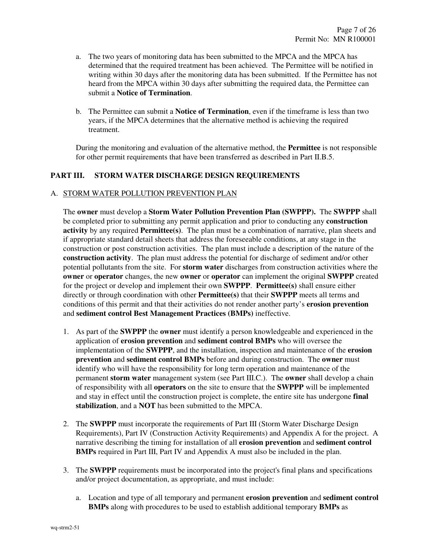- a. The two years of monitoring data has been submitted to the MPCA and the MPCA has determined that the required treatment has been achieved. The Permittee will be notified in writing within 30 days after the monitoring data has been submitted. If the Permittee has not heard from the MPCA within 30 days after submitting the required data, the Permittee can submit a **Notice of Termination**.
- b. The Permittee can submit a **Notice of Termination**, even if the timeframe is less than two years, if the MPCA determines that the alternative method is achieving the required treatment.

During the monitoring and evaluation of the alternative method, the **Permittee** is not responsible for other permit requirements that have been transferred as described in Part II.B.5.

# **PART III. STORM WATER DISCHARGE DESIGN REQUIREMENTS**

# A. STORM WATER POLLUTION PREVENTION PLAN

 The **owner** must develop a **Storm Water Pollution Prevention Plan (SWPPP).** The **SWPPP** shall be completed prior to submitting any permit application and prior to conducting any **construction activity** by any required **Permittee(s)**. The plan must be a combination of narrative, plan sheets and if appropriate standard detail sheets that address the foreseeable conditions, at any stage in the construction or post construction activities. The plan must include a description of the nature of the **construction activity**. The plan must address the potential for discharge of sediment and/or other potential pollutants from the site. For **storm water** discharges from construction activities where the **owner** or **operator** changes, the new **owner** or **operator** can implement the original **SWPPP** created for the project or develop and implement their own **SWPPP**. **Permittee(s)** shall ensure either directly or through coordination with other **Permittee(s)** that their **SWPPP** meets all terms and conditions of this permit and that their activities do not render another party's **erosion prevention** and **sediment control Best Management Practices (BMPs)** ineffective.

- 1. As part of the **SWPPP** the **owner** must identify a person knowledgeable and experienced in the application of **erosion prevention** and **sediment control BMPs** who will oversee the implementation of the **SWPPP**, and the installation, inspection and maintenance of the **erosion prevention** and **sediment control BMPs** before and during construction. The **owner** must identify who will have the responsibility for long term operation and maintenance of the permanent **storm water** management system (see Part III.C.). The **owner** shall develop a chain of responsibility with all **operators** on the site to ensure that the **SWPPP** will be implemented and stay in effect until the construction project is complete, the entire site has undergone **final stabilization**, and a **NOT** has been submitted to the MPCA.
- 2. The **SWPPP** must incorporate the requirements of Part III (Storm Water Discharge Design Requirements), Part IV (Construction Activity Requirements) and Appendix A for the project. A narrative describing the timing for installation of all **erosion prevention** and **sediment control BMPs** required in Part III, Part IV and Appendix A must also be included in the plan.
- 3. The **SWPPP** requirements must be incorporated into the project's final plans and specifications and/or project documentation, as appropriate, and must include:
	- a. Location and type of all temporary and permanent **erosion prevention** and **sediment control BMPs** along with procedures to be used to establish additional temporary **BMPs** as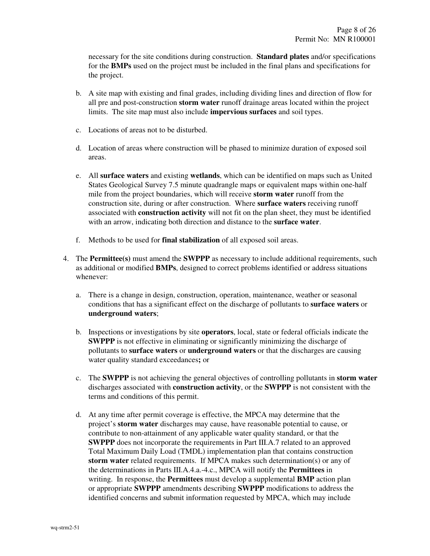necessary for the site conditions during construction. **Standard plates** and/or specifications for the **BMPs** used on the project must be included in the final plans and specifications for the project.

- b. A site map with existing and final grades, including dividing lines and direction of flow for all pre and post-construction **storm water** runoff drainage areas located within the project limits. The site map must also include **impervious surfaces** and soil types.
- c. Locations of areas not to be disturbed.
- d. Location of areas where construction will be phased to minimize duration of exposed soil areas.
- e. All **surface waters** and existing **wetlands**, which can be identified on maps such as United States Geological Survey 7.5 minute quadrangle maps or equivalent maps within one-half mile from the project boundaries, which will receive **storm water** runoff from the construction site, during or after construction. Where **surface waters** receiving runoff associated with **construction activity** will not fit on the plan sheet, they must be identified with an arrow, indicating both direction and distance to the **surface water**.
- f. Methods to be used for **final stabilization** of all exposed soil areas.
- 4. The **Permittee(s)** must amend the **SWPPP** as necessary to include additional requirements, such as additional or modified **BMPs**, designed to correct problems identified or address situations whenever:
	- a. There is a change in design, construction, operation, maintenance, weather or seasonal conditions that has a significant effect on the discharge of pollutants to **surface waters** or **underground waters**;
	- b. Inspections or investigations by site **operators**, local, state or federal officials indicate the **SWPPP** is not effective in eliminating or significantly minimizing the discharge of pollutants to **surface waters** or **underground waters** or that the discharges are causing water quality standard exceedances**;** or
	- c. The **SWPPP** is not achieving the general objectives of controlling pollutants in **storm water** discharges associated with **construction activity**, or the **SWPPP** is not consistent with the terms and conditions of this permit.
	- d. At any time after permit coverage is effective, the MPCA may determine that the project's **storm water** discharges may cause, have reasonable potential to cause, or contribute to non-attainment of any applicable water quality standard, or that the **SWPPP** does not incorporate the requirements in Part III.A.7 related to an approved Total Maximum Daily Load (TMDL) implementation plan that contains construction **storm water** related requirements. If MPCA makes such determination(s) or any of the determinations in Parts III.A.4.a.-4.c., MPCA will notify the **Permittees** in writing. In response, the **Permittees** must develop a supplemental **BMP** action plan or appropriate **SWPPP** amendments describing **SWPPP** modifications to address the identified concerns and submit information requested by MPCA, which may include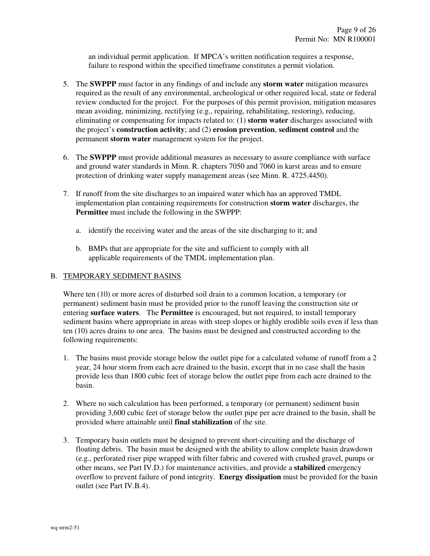an individual permit application. If MPCA's written notification requires a response, failure to respond within the specified timeframe constitutes a permit violation.

- 5. The **SWPPP** must factor in any findings of and include any **storm water** mitigation measures required as the result of any environmental, archeological or other required local, state or federal review conducted for the project. For the purposes of this permit provision, mitigation measures mean avoiding, minimizing, rectifying (e.g., repairing, rehabilitating, restoring), reducing, eliminating or compensating for impacts related to: (1) **storm water** discharges associated with the project's **construction activity**; and (2) **erosion prevention**, **sediment control** and the permanent **storm water** management system for the project.
- 6. The **SWPPP** must provide additional measures as necessary to assure compliance with surface and ground water standards in Minn. R. chapters 7050 and 7060 in karst areas and to ensure protection of drinking water supply management areas (see Minn. R. 4725.4450).
- 7. If runoff from the site discharges to an impaired water which has an approved TMDL implementation plan containing requirements for construction **storm water** discharges, the **Permittee** must include the following in the SWPPP:
	- a. identify the receiving water and the areas of the site discharging to it; and
	- b. BMPs that are appropriate for the site and sufficient to comply with all applicable requirements of the TMDL implementation plan.

# B. TEMPORARY SEDIMENT BASINS

 Where ten (10) or more acres of disturbed soil drain to a common location, a temporary (or permanent) sediment basin must be provided prior to the runoff leaving the construction site or entering **surface waters**. The **Permittee** is encouraged, but not required, to install temporary sediment basins where appropriate in areas with steep slopes or highly erodible soils even if less than ten (10) acres drains to one area. The basins must be designed and constructed according to the following requirements:

- 1. The basins must provide storage below the outlet pipe for a calculated volume of runoff from a 2 year, 24 hour storm from each acre drained to the basin, except that in no case shall the basin provide less than 1800 cubic feet of storage below the outlet pipe from each acre drained to the basin.
- 2. Where no such calculation has been performed, a temporary (or permanent) sediment basin providing 3,600 cubic feet of storage below the outlet pipe per acre drained to the basin, shall be provided where attainable until **final stabilization** of the site.
- 3. Temporary basin outlets must be designed to prevent short-circuiting and the discharge of floating debris. The basin must be designed with the ability to allow complete basin drawdown (e.g., perforated riser pipe wrapped with filter fabric and covered with crushed gravel, pumps or other means, see Part IV.D.) for maintenance activities, and provide a **stabilized** emergency overflow to prevent failure of pond integrity. **Energy dissipation** must be provided for the basin outlet (see Part IV.B.4).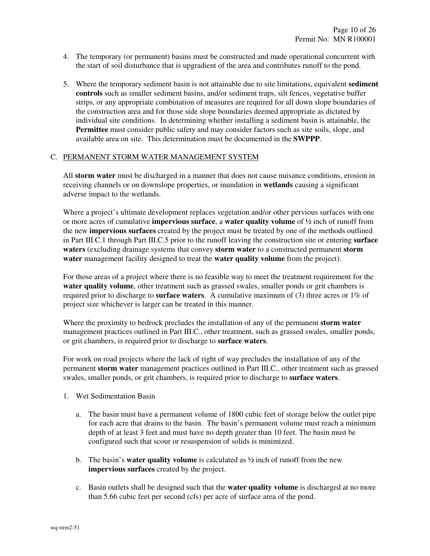- 4. The temporary (or permanent) basins must be constructed and made operational concurrent with the start of soil disturbance that is upgradient of the area and contributes runoff to the pond.
- 5. Where the temporary sediment basin is not attainable due to site limitations, equivalent **sediment controls** such as smaller sediment basins, and/or sediment traps, silt fences, vegetative buffer strips, or any appropriate combination of measures are required for all down slope boundaries of the construction area and for those side slope boundaries deemed appropriate as dictated by individual site conditions. In determining whether installing a sediment basin is attainable, the **Permittee** must consider public safety and may consider factors such as site soils, slope, and available area on site. This determination must be documented in the **SWPPP**.

#### C. PERMANENT STORM WATER MANAGEMENT SYSTEM

 All **storm water** must be discharged in a manner that does not cause nuisance conditions, erosion in receiving channels or on downslope properties, or inundation in **wetlands** causing a significant adverse impact to the wetlands.

 Where a project's ultimate development replaces vegetation and/or other pervious surfaces with one or more acres of cumulative **impervious surface**, a **water quality volume** of ½ inch of runoff from the new **impervious surfaces** created by the project must be treated by one of the methods outlined in Part III.C.1 through Part III.C.5 prior to the runoff leaving the construction site or entering **surface waters** (excluding drainage systems that convey **storm water** to a constructed permanent **storm water** management facility designed to treat the **water quality volume** from the project).

 For those areas of a project where there is no feasible way to meet the treatment requirement for the **water quality volume**, other treatment such as grassed swales, smaller ponds or grit chambers is required prior to discharge to **surface waters**. A cumulative maximum of (3) three acres or 1% of project size whichever is larger can be treated in this manner.

 Where the proximity to bedrock precludes the installation of any of the permanent **storm water** management practices outlined in Part III.C., other treatment, such as grassed swales, smaller ponds, or grit chambers, is required prior to discharge to **surface waters**.

 For work on road projects where the lack of right of way precludes the installation of any of the permanent **storm water** management practices outlined in Part III.C., other treatment such as grassed swales, smaller ponds, or grit chambers, is required prior to discharge to **surface waters**.

- 1. Wet Sedimentation Basin
	- a. The basin must have a permanent volume of 1800 cubic feet of storage below the outlet pipe for each acre that drains to the basin. The basin's permanent volume must reach a minimum depth of at least 3 feet and must have no depth greater than 10 feet. The basin must be configured such that scour or resuspension of solids is minimized.
	- b. The basin's **water quality volume** is calculated as ½ inch of runoff from the new **impervious surfaces** created by the project.
	- c. Basin outlets shall be designed such that the **water quality volume** is discharged at no more than 5.66 cubic feet per second (cfs) per acre of surface area of the pond.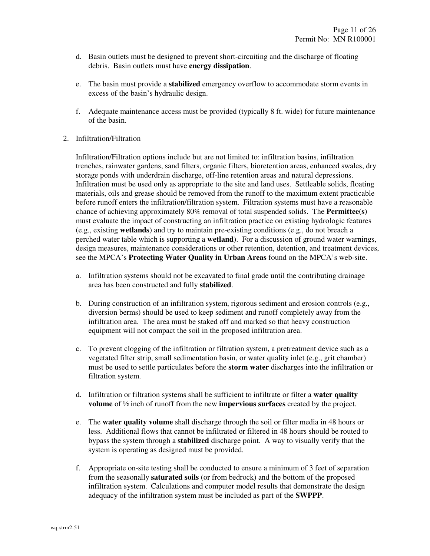- d. Basin outlets must be designed to prevent short-circuiting and the discharge of floating debris. Basin outlets must have **energy dissipation**.
- e. The basin must provide a **stabilized** emergency overflow to accommodate storm events in excess of the basin's hydraulic design.
- f. Adequate maintenance access must be provided (typically 8 ft. wide) for future maintenance of the basin.
- 2. Infiltration/Filtration

 Infiltration/Filtration options include but are not limited to: infiltration basins, infiltration trenches, rainwater gardens, sand filters, organic filters, bioretention areas, enhanced swales, dry storage ponds with underdrain discharge, off-line retention areas and natural depressions. Infiltration must be used only as appropriate to the site and land uses. Settleable solids, floating materials, oils and grease should be removed from the runoff to the maximum extent practicable before runoff enters the infiltration/filtration system. Filtration systems must have a reasonable chance of achieving approximately 80% removal of total suspended solids. The **Permittee(s)** must evaluate the impact of constructing an infiltration practice on existing hydrologic features (e.g., existing **wetlands**) and try to maintain pre-existing conditions (e.g., do not breach a perched water table which is supporting a **wetland**). For a discussion of ground water warnings, design measures, maintenance considerations or other retention, detention, and treatment devices, see the MPCA's **Protecting Water Quality in Urban Areas** found on the MPCA's web-site.

- a. Infiltration systems should not be excavated to final grade until the contributing drainage area has been constructed and fully **stabilized**.
- b. During construction of an infiltration system, rigorous sediment and erosion controls (e.g., diversion berms) should be used to keep sediment and runoff completely away from the infiltration area. The area must be staked off and marked so that heavy construction equipment will not compact the soil in the proposed infiltration area.
- c. To prevent clogging of the infiltration or filtration system, a pretreatment device such as a vegetated filter strip, small sedimentation basin, or water quality inlet (e.g., grit chamber) must be used to settle particulates before the **storm water** discharges into the infiltration or filtration system.
- d. Infiltration or filtration systems shall be sufficient to infiltrate or filter a **water quality volume** of ½ inch of runoff from the new **impervious surfaces** created by the project.
- e. The **water quality volume** shall discharge through the soil or filter media in 48 hours or less. Additional flows that cannot be infiltrated or filtered in 48 hours should be routed to bypass the system through a **stabilized** discharge point. A way to visually verify that the system is operating as designed must be provided.
- f. Appropriate on-site testing shall be conducted to ensure a minimum of 3 feet of separation from the seasonally **saturated soils** (or from bedrock) and the bottom of the proposed infiltration system. Calculations and computer model results that demonstrate the design adequacy of the infiltration system must be included as part of the **SWPPP**.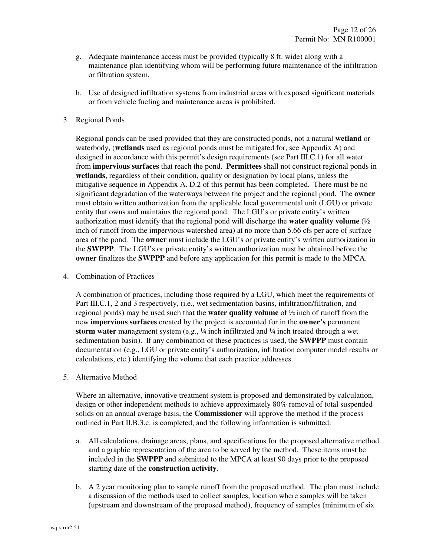- g. Adequate maintenance access must be provided (typically 8 ft. wide) along with a maintenance plan identifying whom will be performing future maintenance of the infiltration or filtration system.
- h. Use of designed infiltration systems from industrial areas with exposed significant materials or from vehicle fueling and maintenance areas is prohibited.
- 3. Regional Ponds

 Regional ponds can be used provided that they are constructed ponds, not a natural **wetland** or waterbody, (**wetlands** used as regional ponds must be mitigated for, see Appendix A) and designed in accordance with this permit's design requirements (see Part III.C.1) for all water from **impervious surfaces** that reach the pond. **Permittees** shall not construct regional ponds in **wetlands**, regardless of their condition, quality or designation by local plans, unless the mitigative sequence in Appendix A. D.2 of this permit has been completed. There must be no significant degradation of the waterways between the project and the regional pond. The **owner**  must obtain written authorization from the applicable local governmental unit (LGU) or private entity that owns and maintains the regional pond. The LGU's or private entity's written authorization must identify that the regional pond will discharge the **water quality volume** (½ inch of runoff from the impervious watershed area) at no more than 5.66 cfs per acre of surface area of the pond. The **owner** must include the LGU's or private entity's written authorization in the **SWPPP**. The LGU's or private entity's written authorization must be obtained before the **owner** finalizes the **SWPPP** and before any application for this permit is made to the MPCA.

4. Combination of Practices

 A combination of practices, including those required by a LGU, which meet the requirements of Part III.C.1, 2 and 3 respectively, (i.e., wet sedimentation basins, infiltration/filtration, and regional ponds) may be used such that the **water quality volume** of ½ inch of runoff from the new **impervious surfaces** created by the project is accounted for in the **owner's** permanent **storm water** management system (e.g., ¼ inch infiltrated and ¼ inch treated through a wet sedimentation basin). If any combination of these practices is used, the **SWPPP** must contain documentation (e.g., LGU or private entity's authorization, infiltration computer model results or calculations, etc.) identifying the volume that each practice addresses.

5. Alternative Method

 Where an alternative, innovative treatment system is proposed and demonstrated by calculation, design or other independent methods to achieve approximately 80% removal of total suspended solids on an annual average basis, the **Commissioner** will approve the method if the process outlined in Part II.B.3.c. is completed, and the following information is submitted:

- a. All calculations, drainage areas, plans, and specifications for the proposed alternative method and a graphic representation of the area to be served by the method. These items must be included in the **SWPPP** and submitted to the MPCA at least 90 days prior to the proposed starting date of the **construction activity**.
- b. A 2 year monitoring plan to sample runoff from the proposed method. The plan must include a discussion of the methods used to collect samples, location where samples will be taken (upstream and downstream of the proposed method), frequency of samples (minimum of six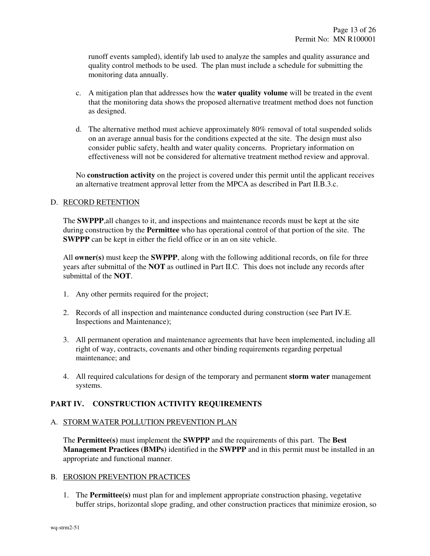runoff events sampled), identify lab used to analyze the samples and quality assurance and quality control methods to be used. The plan must include a schedule for submitting the monitoring data annually.

- c. A mitigation plan that addresses how the **water quality volume** will be treated in the event that the monitoring data shows the proposed alternative treatment method does not function as designed.
- d. The alternative method must achieve approximately 80% removal of total suspended solids on an average annual basis for the conditions expected at the site. The design must also consider public safety, health and water quality concerns. Proprietary information on effectiveness will not be considered for alternative treatment method review and approval.

 No **construction activity** on the project is covered under this permit until the applicant receives an alternative treatment approval letter from the MPCA as described in Part II.B.3.c.

# D. RECORD RETENTION

The **SWPPP**,all changes to it, and inspections and maintenance records must be kept at the site during construction by the **Permittee** who has operational control of that portion of the site. The **SWPPP** can be kept in either the field office or in an on site vehicle.

All **owner(s)** must keep the **SWPPP**, along with the following additional records, on file for three years after submittal of the **NOT** as outlined in Part II.C. This does not include any records after submittal of the **NOT**.

- 1. Any other permits required for the project;
- 2. Records of all inspection and maintenance conducted during construction (see Part IV.E. Inspections and Maintenance);
- 3. All permanent operation and maintenance agreements that have been implemented, including all right of way, contracts, covenants and other binding requirements regarding perpetual maintenance; and
- 4. All required calculations for design of the temporary and permanent **storm water** management systems.

# **PART IV. CONSTRUCTION ACTIVITY REQUIREMENTS**

#### A. STORM WATER POLLUTION PREVENTION PLAN

 The **Permittee(s)** must implement the **SWPPP** and the requirements of this part. The **Best Management Practices (BMPs)** identified in the **SWPPP** and in this permit must be installed in an appropriate and functional manner.

#### B. EROSION PREVENTION PRACTICES

1. The **Permittee(s)** must plan for and implement appropriate construction phasing, vegetative buffer strips, horizontal slope grading, and other construction practices that minimize erosion, so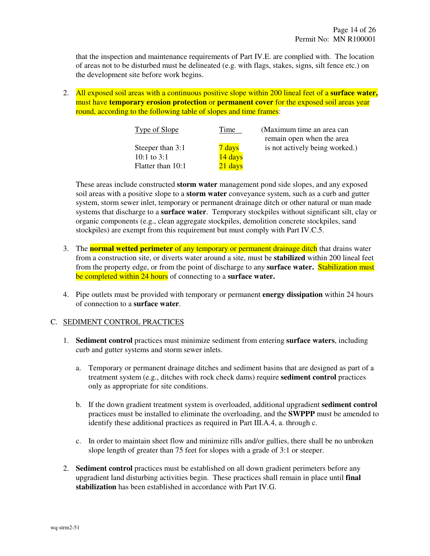that the inspection and maintenance requirements of Part IV.E. are complied with. The location of areas not to be disturbed must be delineated (e.g. with flags, stakes, signs, silt fence etc.) on the development site before work begins.

2. All exposed soil areas with a continuous positive slope within 200 lineal feet of a **surface water,** must have **temporary erosion protection** or **permanent cover** for the exposed soil areas year round, according to the following table of slopes and time frames:

| Type of Slope     | Time    | (Maximum time an area can<br>remain open when the area |
|-------------------|---------|--------------------------------------------------------|
| Steeper than 3:1  | 7 days  | is not actively being worked.)                         |
| 10:1 to $3:1$     | 14 days |                                                        |
| Flatter than 10:1 | 21 days |                                                        |

 These areas include constructed **storm water** management pond side slopes, and any exposed soil areas with a positive slope to a **storm water** conveyance system, such as a curb and gutter system, storm sewer inlet, temporary or permanent drainage ditch or other natural or man made systems that discharge to a **surface water**. Temporary stockpiles without significant silt, clay or organic components (e.g., clean aggregate stockpiles, demolition concrete stockpiles, sand stockpiles) are exempt from this requirement but must comply with Part IV.C.5.

- 3. The **normal wetted perimeter** of any temporary or permanent drainage ditch that drains water from a construction site, or diverts water around a site, must be **stabilized** within 200 lineal feet from the property edge, or from the point of discharge to any **surface water.** Stabilization must be completed within 24 hours of connecting to a **surface water.**
- 4. Pipe outlets must be provided with temporary or permanent **energy dissipation** within 24 hours of connection to a **surface water**.

#### C. SEDIMENT CONTROL PRACTICES

- 1. **Sediment control** practices must minimize sediment from entering **surface waters**, including curb and gutter systems and storm sewer inlets.
	- a. Temporary or permanent drainage ditches and sediment basins that are designed as part of a treatment system (e.g., ditches with rock check dams) require **sediment control** practices only as appropriate for site conditions.
	- b. If the down gradient treatment system is overloaded, additional upgradient **sediment control** practices must be installed to eliminate the overloading, and the **SWPPP** must be amended to identify these additional practices as required in Part III.A.4, a. through c.
	- c. In order to maintain sheet flow and minimize rills and/or gullies, there shall be no unbroken slope length of greater than 75 feet for slopes with a grade of 3:1 or steeper.
- 2. **Sediment control** practices must be established on all down gradient perimeters before any upgradient land disturbing activities begin. These practices shall remain in place until **final stabilization** has been established in accordance with Part IV.G.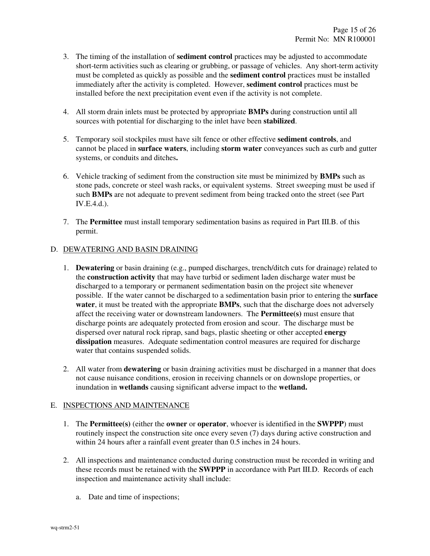- 3. The timing of the installation of **sediment control** practices may be adjusted to accommodate short-term activities such as clearing or grubbing, or passage of vehicles. Any short-term activity must be completed as quickly as possible and the **sediment control** practices must be installed immediately after the activity is completed. However, **sediment control** practices must be installed before the next precipitation event even if the activity is not complete.
- 4. All storm drain inlets must be protected by appropriate **BMPs** during construction until all sources with potential for discharging to the inlet have been **stabilized**.
- 5. Temporary soil stockpiles must have silt fence or other effective **sediment controls**, and cannot be placed in **surface waters**, including **storm water** conveyances such as curb and gutter systems, or conduits and ditches**.**
- 6. Vehicle tracking of sediment from the construction site must be minimized by **BMPs** such as stone pads, concrete or steel wash racks, or equivalent systems. Street sweeping must be used if such **BMPs** are not adequate to prevent sediment from being tracked onto the street (see Part IV.E.4.d.).
- 7. The **Permittee** must install temporary sedimentation basins as required in Part III.B. of this permit.

# D. DEWATERING AND BASIN DRAINING

- 1. **Dewatering** or basin draining (e.g., pumped discharges, trench/ditch cuts for drainage) related to the **construction activity** that may have turbid or sediment laden discharge water must be discharged to a temporary or permanent sedimentation basin on the project site whenever possible. If the water cannot be discharged to a sedimentation basin prior to entering the **surface water**, it must be treated with the appropriate **BMPs**, such that the discharge does not adversely affect the receiving water or downstream landowners. The **Permittee(s)** must ensure that discharge points are adequately protected from erosion and scour. The discharge must be dispersed over natural rock riprap, sand bags, plastic sheeting or other accepted **energy dissipation** measures. Adequate sedimentation control measures are required for discharge water that contains suspended solids.
- 2. All water from **dewatering** or basin draining activities must be discharged in a manner that does not cause nuisance conditions, erosion in receiving channels or on downslope properties, or inundation in **wetlands** causing significant adverse impact to the **wetland.**

# E. INSPECTIONS AND MAINTENANCE

- 1. The **Permittee(s)** (either the **owner** or **operator**, whoever is identified in the **SWPPP**) must routinely inspect the construction site once every seven (7) days during active construction and within 24 hours after a rainfall event greater than 0.5 inches in 24 hours.
- 2. All inspections and maintenance conducted during construction must be recorded in writing and these records must be retained with the **SWPPP** in accordance with Part III.D. Records of each inspection and maintenance activity shall include:
	- a. Date and time of inspections;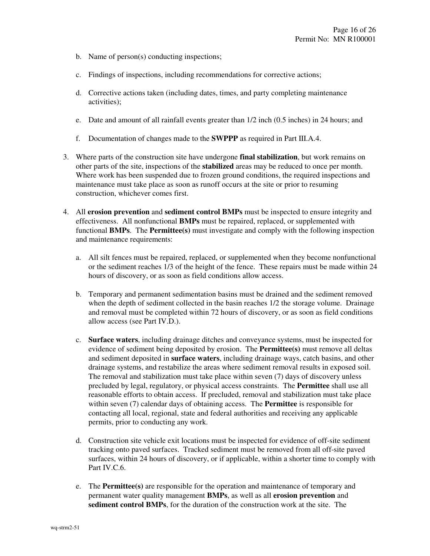- b. Name of person(s) conducting inspections;
- c. Findings of inspections, including recommendations for corrective actions;
- d. Corrective actions taken (including dates, times, and party completing maintenance activities);
- e. Date and amount of all rainfall events greater than 1/2 inch (0.5 inches) in 24 hours; and
- f. Documentation of changes made to the **SWPPP** as required in Part III.A.4.
- 3. Where parts of the construction site have undergone **final stabilization**, but work remains on other parts of the site, inspections of the **stabilized** areas may be reduced to once per month. Where work has been suspended due to frozen ground conditions, the required inspections and maintenance must take place as soon as runoff occurs at the site or prior to resuming construction, whichever comes first.
- 4. All **erosion prevention** and **sediment control BMPs** must be inspected to ensure integrity and effectiveness. All nonfunctional **BMPs** must be repaired, replaced, or supplemented with functional **BMPs**. The **Permittee(s)** must investigate and comply with the following inspection and maintenance requirements:
	- a. All silt fences must be repaired, replaced, or supplemented when they become nonfunctional or the sediment reaches 1/3 of the height of the fence. These repairs must be made within 24 hours of discovery, or as soon as field conditions allow access.
	- b. Temporary and permanent sedimentation basins must be drained and the sediment removed when the depth of sediment collected in the basin reaches 1/2 the storage volume. Drainage and removal must be completed within 72 hours of discovery, or as soon as field conditions allow access (see Part IV.D.).
	- c. **Surface waters**, including drainage ditches and conveyance systems, must be inspected for evidence of sediment being deposited by erosion. The **Permittee(s)** must remove all deltas and sediment deposited in **surface waters**, including drainage ways, catch basins, and other drainage systems, and restabilize the areas where sediment removal results in exposed soil. The removal and stabilization must take place within seven (7) days of discovery unless precluded by legal, regulatory, or physical access constraints. The **Permittee** shall use all reasonable efforts to obtain access. If precluded, removal and stabilization must take place within seven (7) calendar days of obtaining access. The **Permittee** is responsible for contacting all local, regional, state and federal authorities and receiving any applicable permits, prior to conducting any work.
	- d. Construction site vehicle exit locations must be inspected for evidence of off-site sediment tracking onto paved surfaces. Tracked sediment must be removed from all off-site paved surfaces, within 24 hours of discovery, or if applicable, within a shorter time to comply with Part IV.C.6.
	- e. The **Permittee(s)** are responsible for the operation and maintenance of temporary and permanent water quality management **BMPs**, as well as all **erosion prevention** and **sediment control BMPs**, for the duration of the construction work at the site. The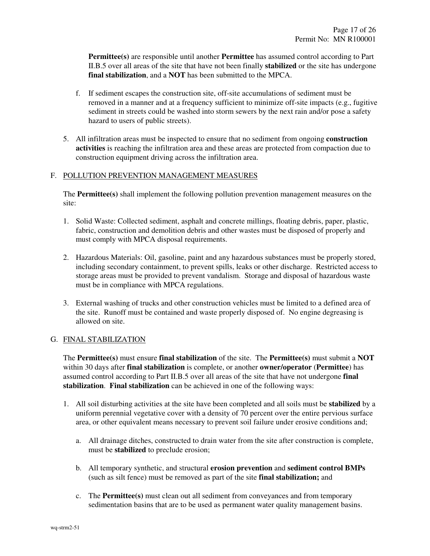**Permittee(s)** are responsible until another **Permittee** has assumed control according to Part II.B.5 over all areas of the site that have not been finally **stabilized** or the site has undergone **final stabilization**, and a **NOT** has been submitted to the MPCA.

- f. If sediment escapes the construction site, off-site accumulations of sediment must be removed in a manner and at a frequency sufficient to minimize off-site impacts (e.g., fugitive sediment in streets could be washed into storm sewers by the next rain and/or pose a safety hazard to users of public streets).
- 5. All infiltration areas must be inspected to ensure that no sediment from ongoing **construction activities** is reaching the infiltration area and these areas are protected from compaction due to construction equipment driving across the infiltration area.

# F. POLLUTION PREVENTION MANAGEMENT MEASURES

 The **Permittee(s)** shall implement the following pollution prevention management measures on the site:

- 1. Solid Waste: Collected sediment, asphalt and concrete millings, floating debris, paper, plastic, fabric, construction and demolition debris and other wastes must be disposed of properly and must comply with MPCA disposal requirements.
- 2. Hazardous Materials: Oil, gasoline, paint and any hazardous substances must be properly stored, including secondary containment, to prevent spills, leaks or other discharge. Restricted access to storage areas must be provided to prevent vandalism. Storage and disposal of hazardous waste must be in compliance with MPCA regulations.
- 3. External washing of trucks and other construction vehicles must be limited to a defined area of the site. Runoff must be contained and waste properly disposed of. No engine degreasing is allowed on site.

# G. FINAL STABILIZATION

 The **Permittee(s)** must ensure **final stabilization** of the site. The **Permittee(s)** must submit a **NOT** within 30 days after **final stabilization** is complete, or another **owner/operator** (**Permittee**) has assumed control according to Part II.B.5 over all areas of the site that have not undergone **final stabilization**. **Final stabilization** can be achieved in one of the following ways:

- 1. All soil disturbing activities at the site have been completed and all soils must be **stabilized** by a uniform perennial vegetative cover with a density of 70 percent over the entire pervious surface area, or other equivalent means necessary to prevent soil failure under erosive conditions and;
	- a. All drainage ditches, constructed to drain water from the site after construction is complete, must be **stabilized** to preclude erosion;
	- b. All temporary synthetic, and structural **erosion prevention** and **sediment control BMPs** (such as silt fence) must be removed as part of the site **final stabilization;** and
	- c. The **Permittee(s)** must clean out all sediment from conveyances and from temporary sedimentation basins that are to be used as permanent water quality management basins.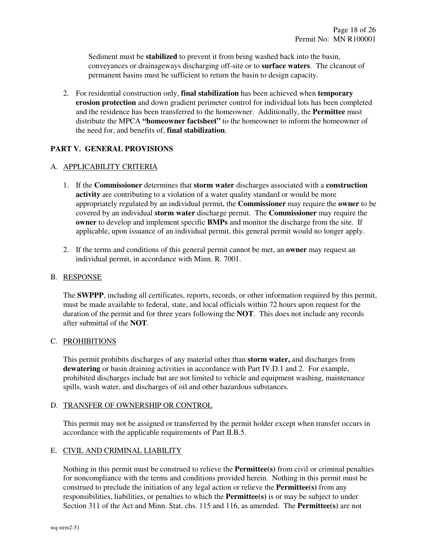Sediment must be **stabilized** to prevent it from being washed back into the basin, conveyances or drainageways discharging off-site or to **surface waters**. The cleanout of permanent basins must be sufficient to return the basin to design capacity.

2. For residential construction only, **final stabilization** has been achieved when **temporary erosion protection** and down gradient perimeter control for individual lots has been completed and the residence has been transferred to the homeowner. Additionally, the **Permittee** must distribute the MPCA **"homeowner factsheet"** to the homeowner to inform the homeowner of the need for, and benefits of, **final stabilization**.

# **PART V. GENERAL PROVISIONS**

#### A. APPLICABILITY CRITERIA

- 1. If the **Commissioner** determines that **storm water** discharges associated with a **construction activity** are contributing to a violation of a water quality standard or would be more appropriately regulated by an individual permit, the **Commissioner** may require the **owner** to be covered by an individual **storm water** discharge permit. The **Commissioner** may require the **owner** to develop and implement specific **BMPs** and monitor the discharge from the site. If applicable, upon issuance of an individual permit, this general permit would no longer apply.
- 2. If the terms and conditions of this general permit cannot be met, an **owner** may request an individual permit, in accordance with Minn. R. 7001.

#### B. RESPONSE

 The **SWPPP**, including all certificates, reports, records, or other information required by this permit, must be made available to federal, state, and local officials within 72 hours upon request for the duration of the permit and for three years following the **NOT**. This does not include any records after submittal of the **NOT**.

#### C. PROHIBITIONS

 This permit prohibits discharges of any material other than **storm water,** and discharges from **dewatering** or basin draining activities in accordance with Part IV.D.1 and 2. For example, prohibited discharges include but are not limited to vehicle and equipment washing, maintenance spills, wash water, and discharges of oil and other hazardous substances.

# D. TRANSFER OF OWNERSHIP OR CONTROL

 This permit may not be assigned or transferred by the permit holder except when transfer occurs in accordance with the applicable requirements of Part II.B.5.

#### E. CIVIL AND CRIMINAL LIABILITY

 Nothing in this permit must be construed to relieve the **Permittee(s)** from civil or criminal penalties for noncompliance with the terms and conditions provided herein. Nothing in this permit must be construed to preclude the initiation of any legal action or relieve the **Permittee(s)** from any responsibilities, liabilities, or penalties to which the **Permittee(s)** is or may be subject to under Section 311 of the Act and Minn. Stat. chs. 115 and 116, as amended. The **Permittee(s)** are not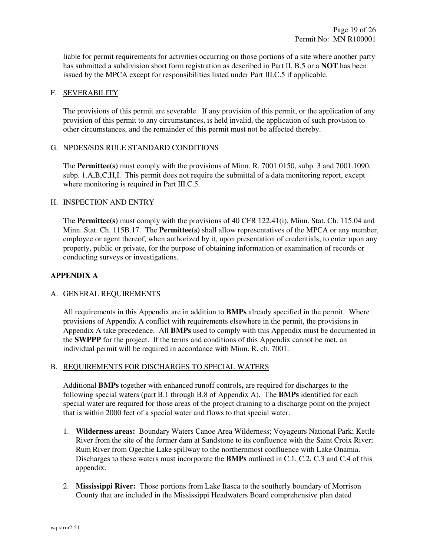liable for permit requirements for activities occurring on those portions of a site where another party has submitted a subdivision short form registration as described in Part II. B.5 or a **NOT** has been issued by the MPCA except for responsibilities listed under Part III.C.5 if applicable.

# F. SEVERABILITY

 The provisions of this permit are severable. If any provision of this permit, or the application of any provision of this permit to any circumstances, is held invalid, the application of such provision to other circumstances, and the remainder of this permit must not be affected thereby.

# G. NPDES/SDS RULE STANDARD CONDITIONS

 The **Permittee(s)** must comply with the provisions of Minn. R. 7001.0150, subp. 3 and 7001.1090, subp. 1.A,B,C,H,I. This permit does not require the submittal of a data monitoring report, except where monitoring is required in Part III.C.5.

# H. INSPECTION AND ENTRY

 The **Permittee(s)** must comply with the provisions of 40 CFR 122.41(i), Minn. Stat. Ch. 115.04 and Minn. Stat. Ch. 115B.17. The **Permittee(s)** shall allow representatives of the MPCA or any member, employee or agent thereof, when authorized by it, upon presentation of credentials, to enter upon any property, public or private, for the purpose of obtaining information or examination of records or conducting surveys or investigations.

# **APPENDIX A**

# A. GENERAL REQUIREMENTS

 All requirements in this Appendix are in addition to **BMPs** already specified in the permit. Where provisions of Appendix A conflict with requirements elsewhere in the permit, the provisions in Appendix A take precedence. All **BMPs** used to comply with this Appendix must be documented in the **SWPPP** for the project. If the terms and conditions of this Appendix cannot be met, an individual permit will be required in accordance with Minn. R. ch. 7001.

### B. REQUIREMENTS FOR DISCHARGES TO SPECIAL WATERS

 Additional **BMPs** together with enhanced runoff controls**,** are required for discharges to the following special waters (part B.1 through B.8 of Appendix A). The **BMPs** identified for each special water are required for those areas of the project draining to a discharge point on the project that is within 2000 feet of a special water and flows to that special water.

- 1. **Wilderness areas:** Boundary Waters Canoe Area Wilderness; Voyageurs National Park; Kettle River from the site of the former dam at Sandstone to its confluence with the Saint Croix River; Rum River from Ogechie Lake spillway to the northernmost confluence with Lake Onamia. Discharges to these waters must incorporate the **BMPs** outlined in C.1, C.2, C.3 and C.4 of this appendix.
- 2. **Mississippi River:** Those portions from Lake Itasca to the southerly boundary of Morrison County that are included in the Mississippi Headwaters Board comprehensive plan dated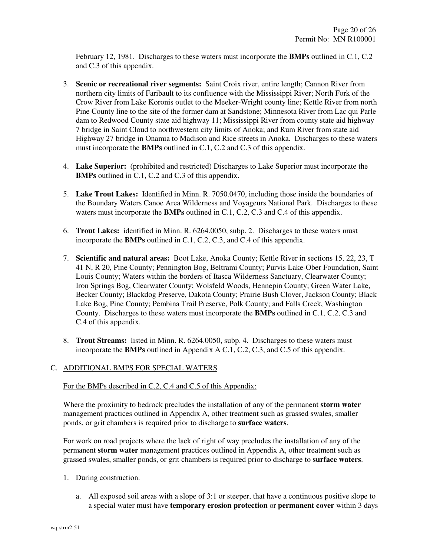February 12, 1981. Discharges to these waters must incorporate the **BMPs** outlined in C.1, C.2 and C.3 of this appendix.

- 3. **Scenic or recreational river segments:** Saint Croix river, entire length; Cannon River from northern city limits of Faribault to its confluence with the Mississippi River; North Fork of the Crow River from Lake Koronis outlet to the Meeker-Wright county line; Kettle River from north Pine County line to the site of the former dam at Sandstone; Minnesota River from Lac qui Parle dam to Redwood County state aid highway 11; Mississippi River from county state aid highway 7 bridge in Saint Cloud to northwestern city limits of Anoka; and Rum River from state aid Highway 27 bridge in Onamia to Madison and Rice streets in Anoka. Discharges to these waters must incorporate the **BMPs** outlined in C.1, C.2 and C.3 of this appendix.
- 4. **Lake Superior:** (prohibited and restricted) Discharges to Lake Superior must incorporate the **BMPs** outlined in C.1, C.2 and C.3 of this appendix.
- 5. **Lake Trout Lakes:** Identified in Minn. R. 7050.0470, including those inside the boundaries of the Boundary Waters Canoe Area Wilderness and Voyageurs National Park. Discharges to these waters must incorporate the **BMPs** outlined in C.1, C.2, C.3 and C.4 of this appendix.
- 6. **Trout Lakes:** identified in Minn. R. 6264.0050, subp. 2. Discharges to these waters must incorporate the **BMPs** outlined in C.1, C.2, C.3, and C.4 of this appendix.
- 7. **Scientific and natural areas:** Boot Lake, Anoka County; Kettle River in sections 15, 22, 23, T 41 N, R 20, Pine County; Pennington Bog, Beltrami County; Purvis Lake-Ober Foundation, Saint Louis County; Waters within the borders of Itasca Wilderness Sanctuary, Clearwater County; Iron Springs Bog, Clearwater County; Wolsfeld Woods, Hennepin County; Green Water Lake, Becker County; Blackdog Preserve, Dakota County; Prairie Bush Clover, Jackson County; Black Lake Bog, Pine County; Pembina Trail Preserve, Polk County; and Falls Creek, Washington County. Discharges to these waters must incorporate the **BMPs** outlined in C.1, C.2, C.3 and C.4 of this appendix.
- 8. **Trout Streams:** listed in Minn. R. 6264.0050, subp. 4. Discharges to these waters must incorporate the **BMPs** outlined in Appendix A C.1, C.2, C.3, and C.5 of this appendix.

## C. ADDITIONAL BMPS FOR SPECIAL WATERS

#### For the BMPs described in C.2, C.4 and C.5 of this Appendix:

Where the proximity to bedrock precludes the installation of any of the permanent **storm water** management practices outlined in Appendix A, other treatment such as grassed swales, smaller ponds, or grit chambers is required prior to discharge to **surface waters**.

For work on road projects where the lack of right of way precludes the installation of any of the permanent **storm water** management practices outlined in Appendix A, other treatment such as grassed swales, smaller ponds, or grit chambers is required prior to discharge to **surface waters**.

- 1. During construction.
	- a. All exposed soil areas with a slope of 3:1 or steeper, that have a continuous positive slope to a special water must have **temporary erosion protection** or **permanent cover** within 3 days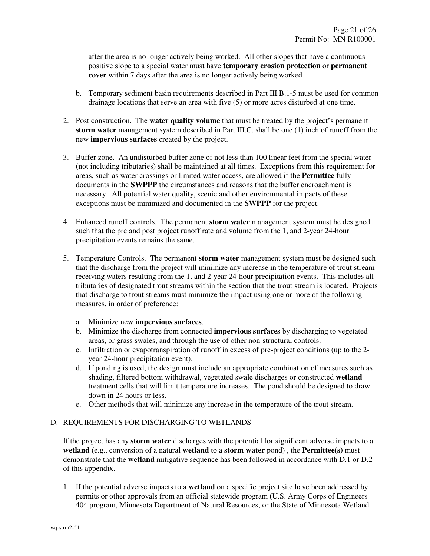after the area is no longer actively being worked. All other slopes that have a continuous positive slope to a special water must have **temporary erosion protection** or **permanent cover** within 7 days after the area is no longer actively being worked.

- b. Temporary sediment basin requirements described in Part III.B.1-5 must be used for common drainage locations that serve an area with five (5) or more acres disturbed at one time.
- 2. Post construction. The **water quality volume** that must be treated by the project's permanent **storm water** management system described in Part III.C. shall be one (1) inch of runoff from the new **impervious surfaces** created by the project.
- 3. Buffer zone. An undisturbed buffer zone of not less than 100 linear feet from the special water (not including tributaries) shall be maintained at all times. Exceptions from this requirement for areas, such as water crossings or limited water access, are allowed if the **Permittee** fully documents in the **SWPPP** the circumstances and reasons that the buffer encroachment is necessary. All potential water quality, scenic and other environmental impacts of these exceptions must be minimized and documented in the **SWPPP** for the project.
- 4. Enhanced runoff controls. The permanent **storm water** management system must be designed such that the pre and post project runoff rate and volume from the 1, and 2-year 24-hour precipitation events remains the same.
- 5. Temperature Controls. The permanent **storm water** management system must be designed such that the discharge from the project will minimize any increase in the temperature of trout stream receiving waters resulting from the 1, and 2-year 24-hour precipitation events. This includes all tributaries of designated trout streams within the section that the trout stream is located. Projects that discharge to trout streams must minimize the impact using one or more of the following measures, in order of preference:
	- a. Minimize new **impervious surfaces**.
	- b. Minimize the discharge from connected **impervious surfaces** by discharging to vegetated areas, or grass swales, and through the use of other non-structural controls.
	- c. Infiltration or evapotranspiration of runoff in excess of pre-project conditions (up to the 2 year 24-hour precipitation event).
	- d. If ponding is used, the design must include an appropriate combination of measures such as shading, filtered bottom withdrawal, vegetated swale discharges or constructed **wetland** treatment cells that will limit temperature increases. The pond should be designed to draw down in 24 hours or less.
	- e. Other methods that will minimize any increase in the temperature of the trout stream.

# D. REQUIREMENTS FOR DISCHARGING TO WETLANDS

 If the project has any **storm water** discharges with the potential for significant adverse impacts to a **wetland** (e.g., conversion of a natural **wetland** to a **storm water** pond) , the **Permittee(s)** must demonstrate that the **wetland** mitigative sequence has been followed in accordance with D.1 or D.2 of this appendix.

1. If the potential adverse impacts to a **wetland** on a specific project site have been addressed by permits or other approvals from an official statewide program (U.S. Army Corps of Engineers 404 program, Minnesota Department of Natural Resources, or the State of Minnesota Wetland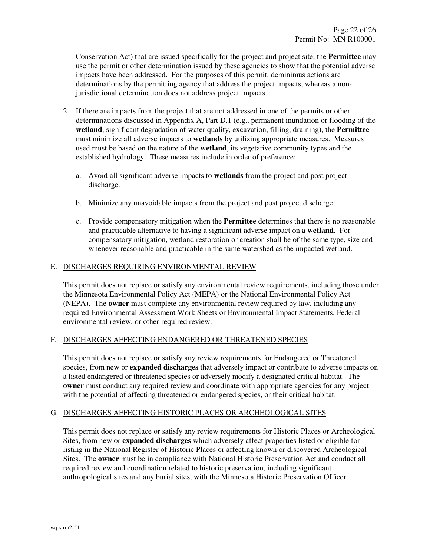Conservation Act) that are issued specifically for the project and project site, the **Permittee** may use the permit or other determination issued by these agencies to show that the potential adverse impacts have been addressed. For the purposes of this permit, deminimus actions are determinations by the permitting agency that address the project impacts, whereas a nonjurisdictional determination does not address project impacts.

- 2. If there are impacts from the project that are not addressed in one of the permits or other determinations discussed in Appendix A, Part D.1 (e.g., permanent inundation or flooding of the **wetland**, significant degradation of water quality, excavation, filling, draining), the **Permittee** must minimize all adverse impacts to **wetlands** by utilizing appropriate measures. Measures used must be based on the nature of the **wetland**, its vegetative community types and the established hydrology. These measures include in order of preference:
	- a. Avoid all significant adverse impacts to **wetlands** from the project and post project discharge.
	- b. Minimize any unavoidable impacts from the project and post project discharge.
	- c. Provide compensatory mitigation when the **Permittee** determines that there is no reasonable and practicable alternative to having a significant adverse impact on a **wetland**. For compensatory mitigation, wetland restoration or creation shall be of the same type, size and whenever reasonable and practicable in the same watershed as the impacted wetland.

#### E. DISCHARGES REQUIRING ENVIRONMENTAL REVIEW

 This permit does not replace or satisfy any environmental review requirements, including those under the Minnesota Environmental Policy Act (MEPA) or the National Environmental Policy Act (NEPA). The **owner** must complete any environmental review required by law, including any required Environmental Assessment Work Sheets or Environmental Impact Statements, Federal environmental review, or other required review.

# F. DISCHARGES AFFECTING ENDANGERED OR THREATENED SPECIES

 This permit does not replace or satisfy any review requirements for Endangered or Threatened species, from new or **expanded discharges** that adversely impact or contribute to adverse impacts on a listed endangered or threatened species or adversely modify a designated critical habitat. The **owner** must conduct any required review and coordinate with appropriate agencies for any project with the potential of affecting threatened or endangered species, or their critical habitat.

# G. DISCHARGES AFFECTING HISTORIC PLACES OR ARCHEOLOGICAL SITES

 This permit does not replace or satisfy any review requirements for Historic Places or Archeological Sites, from new or **expanded discharges** which adversely affect properties listed or eligible for listing in the National Register of Historic Places or affecting known or discovered Archeological Sites. The **owner** must be in compliance with National Historic Preservation Act and conduct all required review and coordination related to historic preservation, including significant anthropological sites and any burial sites, with the Minnesota Historic Preservation Officer.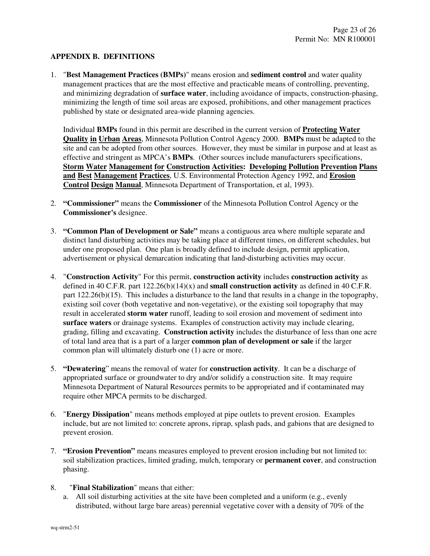# **APPENDIX B. DEFINITIONS**

1. "**Best Management Practices (BMPs)**" means erosion and **sediment control** and water quality management practices that are the most effective and practicable means of controlling, preventing, and minimizing degradation of **surface water**, including avoidance of impacts, construction-phasing, minimizing the length of time soil areas are exposed, prohibitions, and other management practices published by state or designated area-wide planning agencies.

 Individual **BMPs** found in this permit are described in the current version of **Protecting Water Quality in Urban Areas**, Minnesota Pollution Control Agency 2000. **BMPs** must be adapted to the site and can be adopted from other sources. However, they must be similar in purpose and at least as effective and stringent as MPCA's **BMPs**. (Other sources include manufacturers specifications, **Storm Water Management for Construction Activities: Developing Pollution Prevention Plans and Best Management Practices**, U.S. Environmental Protection Agency 1992, and **Erosion Control Design Manual**, Minnesota Department of Transportation, et al, 1993).

- 2. **"Commissioner"** means the **Commissioner** of the Minnesota Pollution Control Agency or the **Commissioner's** designee.
- 3. **"Common Plan of Development or Sale"** means a contiguous area where multiple separate and distinct land disturbing activities may be taking place at different times, on different schedules, but under one proposed plan. One plan is broadly defined to include design, permit application, advertisement or physical demarcation indicating that land-disturbing activities may occur.
- 4. "**Construction Activity**" For this permit, **construction activity** includes **construction activity** as defined in 40 C.F.R. part 122.26(b)(14)(x) and **small construction activity** as defined in 40 C.F.R. part 122.26(b)(15). This includes a disturbance to the land that results in a change in the topography, existing soil cover (both vegetative and non-vegetative), or the existing soil topography that may result in accelerated **storm water** runoff, leading to soil erosion and movement of sediment into **surface waters** or drainage systems. Examples of construction activity may include clearing, grading, filling and excavating. **Construction activity** includes the disturbance of less than one acre of total land area that is a part of a larger **common plan of development or sale** if the larger common plan will ultimately disturb one (1) acre or more.
- 5. **"Dewatering**" means the removal of water for **construction activity**. It can be a discharge of appropriated surface or groundwater to dry and/or solidify a construction site. It may require Minnesota Department of Natural Resources permits to be appropriated and if contaminated may require other MPCA permits to be discharged.
- 6. "**Energy Dissipation**" means methods employed at pipe outlets to prevent erosion. Examples include, but are not limited to: concrete aprons, riprap, splash pads, and gabions that are designed to prevent erosion.
- 7. **"Erosion Prevention"** means measures employed to prevent erosion including but not limited to: soil stabilization practices, limited grading, mulch, temporary or **permanent cover**, and construction phasing.
- 8. "**Final Stabilization**" means that either:
	- a. All soil disturbing activities at the site have been completed and a uniform (e.g., evenly distributed, without large bare areas) perennial vegetative cover with a density of 70% of the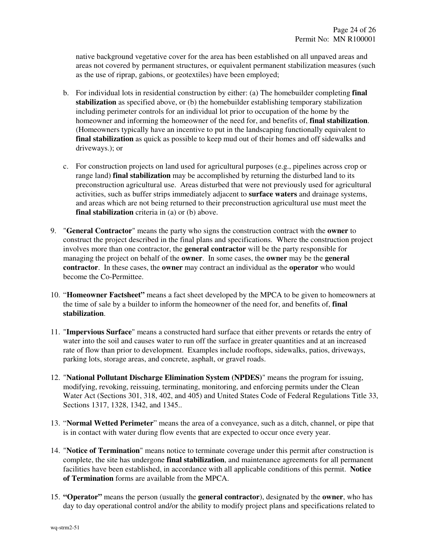native background vegetative cover for the area has been established on all unpaved areas and areas not covered by permanent structures, or equivalent permanent stabilization measures (such as the use of riprap, gabions, or geotextiles) have been employed;

- b. For individual lots in residential construction by either: (a) The homebuilder completing **final**  stabilization as specified above, or (b) the homebuilder establishing temporary stabilization including perimeter controls for an individual lot prior to occupation of the home by the homeowner and informing the homeowner of the need for, and benefits of, **final stabilization**. (Homeowners typically have an incentive to put in the landscaping functionally equivalent to **final stabilization** as quick as possible to keep mud out of their homes and off sidewalks and driveways.); or
- c. For construction projects on land used for agricultural purposes (e.g., pipelines across crop or range land) **final stabilization** may be accomplished by returning the disturbed land to its preconstruction agricultural use. Areas disturbed that were not previously used for agricultural activities, such as buffer strips immediately adjacent to **surface waters** and drainage systems, and areas which are not being returned to their preconstruction agricultural use must meet the **final stabilization** criteria in (a) or (b) above.
- 9. "**General Contractor**" means the party who signs the construction contract with the **owner** to construct the project described in the final plans and specifications. Where the construction project involves more than one contractor, the **general contractor** will be the party responsible for managing the project on behalf of the **owner**. In some cases, the **owner** may be the **general contractor**. In these cases, the **owner** may contract an individual as the **operator** who would become the Co-Permittee.
- 10. "**Homeowner Factsheet"** means a fact sheet developed by the MPCA to be given to homeowners at the time of sale by a builder to inform the homeowner of the need for, and benefits of, **final stabilization**.
- 11. "**Impervious Surface**" means a constructed hard surface that either prevents or retards the entry of water into the soil and causes water to run off the surface in greater quantities and at an increased rate of flow than prior to development. Examples include rooftops, sidewalks, patios, driveways, parking lots, storage areas, and concrete, asphalt, or gravel roads.
- 12. "**National Pollutant Discharge Elimination System (NPDES)**" means the program for issuing, modifying, revoking, reissuing, terminating, monitoring, and enforcing permits under the Clean Water Act (Sections 301, 318, 402, and 405) and United States Code of Federal Regulations Title 33, Sections 1317, 1328, 1342, and 1345..
- 13. "**Normal Wetted Perimeter**" means the area of a conveyance, such as a ditch, channel, or pipe that is in contact with water during flow events that are expected to occur once every year.
- 14. "**Notice of Termination**" means notice to terminate coverage under this permit after construction is complete, the site has undergone **final stabilization**, and maintenance agreements for all permanent facilities have been established, in accordance with all applicable conditions of this permit. **Notice of Termination** forms are available from the MPCA.
- 15. **"Operator"** means the person (usually the **general contractor**), designated by the **owner**, who has day to day operational control and/or the ability to modify project plans and specifications related to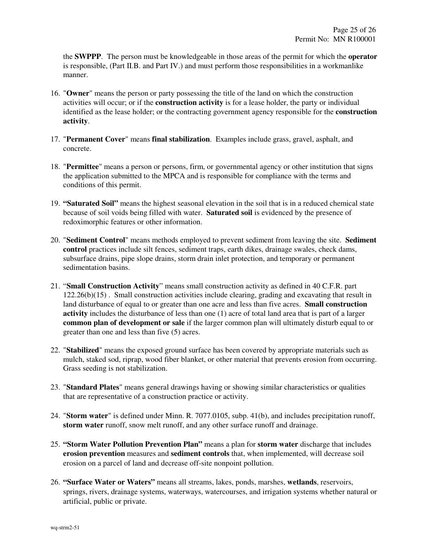the **SWPPP**. The person must be knowledgeable in those areas of the permit for which the **operator** is responsible, (Part II.B. and Part IV.) and must perform those responsibilities in a workmanlike manner.

- 16. "**Owner**" means the person or party possessing the title of the land on which the construction activities will occur; or if the **construction activity** is for a lease holder, the party or individual identified as the lease holder; or the contracting government agency responsible for the **construction activity**.
- 17. "**Permanent Cover**" means **final stabilization**. Examples include grass, gravel, asphalt, and concrete.
- 18. "**Permittee**" means a person or persons, firm, or governmental agency or other institution that signs the application submitted to the MPCA and is responsible for compliance with the terms and conditions of this permit.
- 19. **"Saturated Soil"** means the highest seasonal elevation in the soil that is in a reduced chemical state because of soil voids being filled with water. **Saturated soil** is evidenced by the presence of redoximorphic features or other information.
- 20. "**Sediment Control**" means methods employed to prevent sediment from leaving the site. **Sediment control** practices include silt fences, sediment traps, earth dikes, drainage swales, check dams, subsurface drains, pipe slope drains, storm drain inlet protection, and temporary or permanent sedimentation basins.
- 21. "**Small Construction Activity**" means small construction activity as defined in 40 C.F.R. part 122.26(b)(15) . Small construction activities include clearing, grading and excavating that result in land disturbance of equal to or greater than one acre and less than five acres. **Small construction activity** includes the disturbance of less than one (1) acre of total land area that is part of a larger **common plan of development or sale** if the larger common plan will ultimately disturb equal to or greater than one and less than five (5) acres.
- 22. "**Stabilized**" means the exposed ground surface has been covered by appropriate materials such as mulch, staked sod, riprap, wood fiber blanket, or other material that prevents erosion from occurring. Grass seeding is not stabilization.
- 23. "**Standard Plates**" means general drawings having or showing similar characteristics or qualities that are representative of a construction practice or activity.
- 24. "**Storm water**" is defined under Minn. R. 7077.0105, subp. 41(b), and includes precipitation runoff, **storm water** runoff, snow melt runoff, and any other surface runoff and drainage.
- 25. **"Storm Water Pollution Prevention Plan"** means a plan for **storm water** discharge that includes **erosion prevention** measures and **sediment controls** that, when implemented, will decrease soil erosion on a parcel of land and decrease off-site nonpoint pollution.
- 26. **"Surface Water or Waters"** means all streams, lakes, ponds, marshes, **wetlands**, reservoirs, springs, rivers, drainage systems, waterways, watercourses, and irrigation systems whether natural or artificial, public or private.